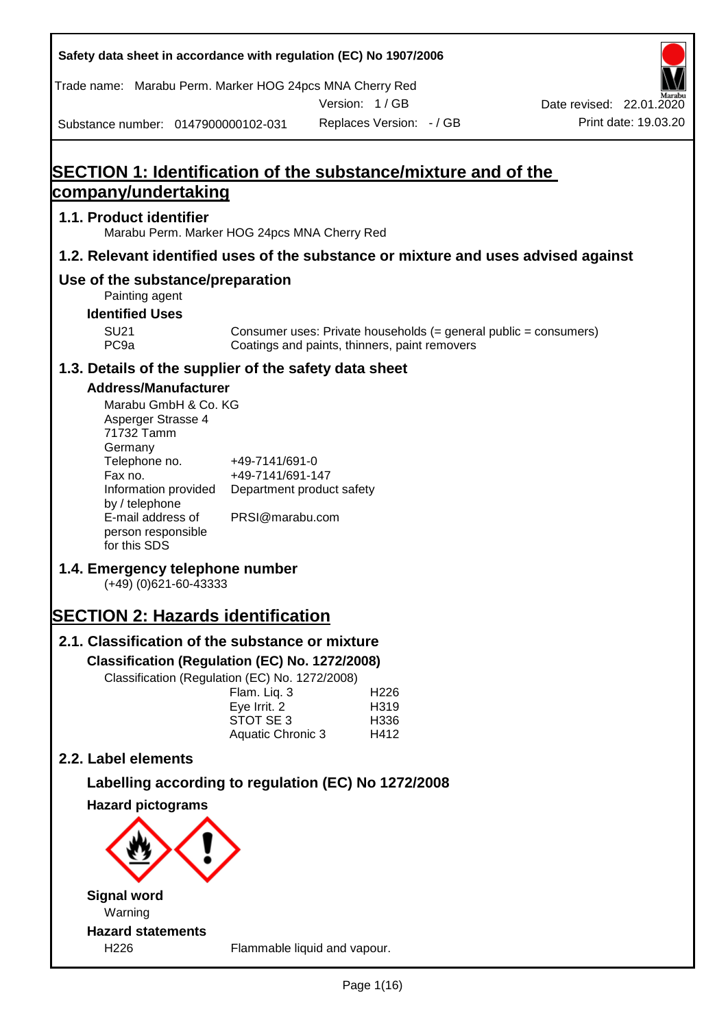| Safety data sheet in accordance with regulation (EC) No 1907/2006 |  |
|-------------------------------------------------------------------|--|
|-------------------------------------------------------------------|--|

Trade name: Marabu Perm. Marker HOG 24pcs MNA Cherry Red

Version: 1 / GB



Substance number: 0147900000102-031

# **SECTION 1: Identification of the substance/mixture and of the company/undertaking**

### **1.1. Product identifier**

Marabu Perm. Marker HOG 24pcs MNA Cherry Red

### **1.2. Relevant identified uses of the substance or mixture and uses advised against**

### **Use of the substance/preparation**

- Painting agent
- **Identified Uses**

SU21 Consumer uses: Private households (= general public = consumers)<br>PC9a Coatings and paints, thinners, paint removers Coatings and paints, thinners, paint removers

### **1.3. Details of the supplier of the safety data sheet**

### **Address/Manufacturer**

| Marabu GmbH & Co. KG |                           |
|----------------------|---------------------------|
| Asperger Strasse 4   |                           |
| 71732 Tamm           |                           |
| Germany              |                           |
| Telephone no.        | +49-7141/691-0            |
| Fax no.              | +49-7141/691-147          |
| Information provided | Department product safety |
| by / telephone       |                           |
| E-mail address of    | PRSI@marabu.com           |
| person responsible   |                           |
| for this SDS         |                           |

# **1.4. Emergency telephone number**

(+49) (0)621-60-43333

# **SECTION 2: Hazards identification**

# **2.1. Classification of the substance or mixture**

**Classification (Regulation (EC) No. 1272/2008)**

Classification (Regulation (EC) No. 1272/2008)

| H <sub>226</sub>  |
|-------------------|
| H <sub>3</sub> 19 |
| H <sub>336</sub>  |
| H412              |
|                   |

### **2.2. Label elements**

## **Labelling according to regulation (EC) No 1272/2008**

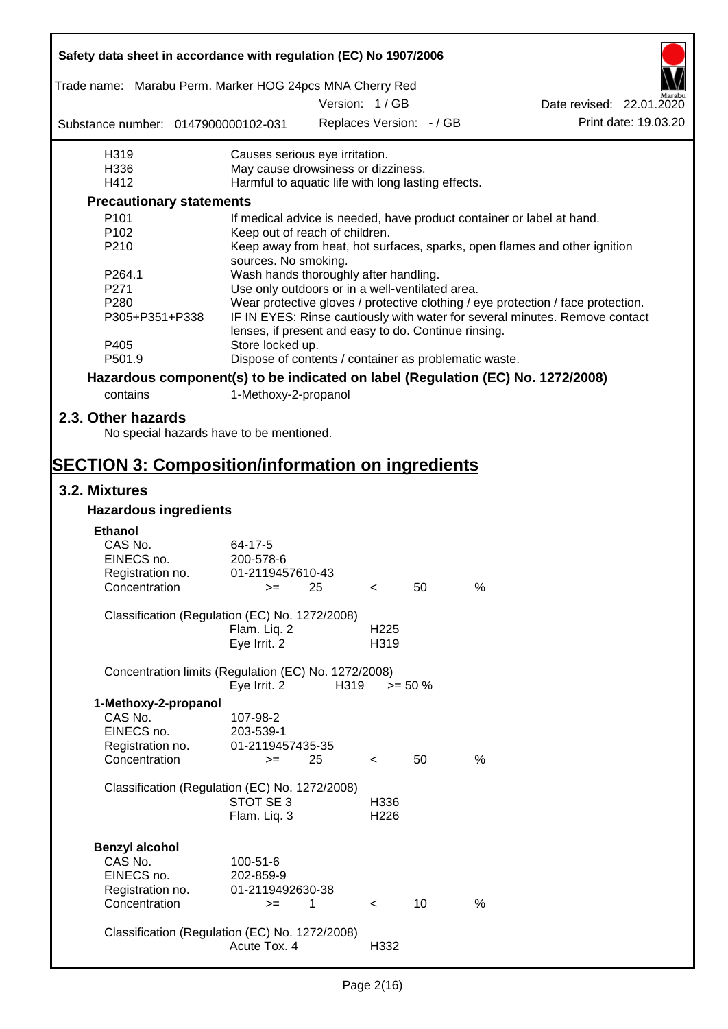| Safety data sheet in accordance with regulation (EC) No 1907/2006               |                                                       |      |                  |                          |      |                                                                                  |
|---------------------------------------------------------------------------------|-------------------------------------------------------|------|------------------|--------------------------|------|----------------------------------------------------------------------------------|
| Trade name: Marabu Perm. Marker HOG 24pcs MNA Cherry Red                        |                                                       |      | Version: 1 / GB  |                          |      |                                                                                  |
|                                                                                 |                                                       |      |                  |                          |      | Date revised: 22.01.2020                                                         |
| Substance number: 0147900000102-031                                             |                                                       |      |                  | Replaces Version: - / GB |      | Print date: 19.03.20                                                             |
| H319                                                                            | Causes serious eye irritation.                        |      |                  |                          |      |                                                                                  |
| H336                                                                            | May cause drowsiness or dizziness.                    |      |                  |                          |      |                                                                                  |
| H412                                                                            | Harmful to aquatic life with long lasting effects.    |      |                  |                          |      |                                                                                  |
| <b>Precautionary statements</b>                                                 |                                                       |      |                  |                          |      |                                                                                  |
| P <sub>101</sub>                                                                |                                                       |      |                  |                          |      | If medical advice is needed, have product container or label at hand.            |
| P102                                                                            | Keep out of reach of children.                        |      |                  |                          |      |                                                                                  |
| P210                                                                            | sources. No smoking.                                  |      |                  |                          |      | Keep away from heat, hot surfaces, sparks, open flames and other ignition        |
| P264.1                                                                          | Wash hands thoroughly after handling.                 |      |                  |                          |      |                                                                                  |
| P271                                                                            | Use only outdoors or in a well-ventilated area.       |      |                  |                          |      |                                                                                  |
| P <sub>280</sub>                                                                |                                                       |      |                  |                          |      | Wear protective gloves / protective clothing / eye protection / face protection. |
| P305+P351+P338                                                                  | lenses, if present and easy to do. Continue rinsing.  |      |                  |                          |      | IF IN EYES: Rinse cautiously with water for several minutes. Remove contact      |
| P405                                                                            | Store locked up.                                      |      |                  |                          |      |                                                                                  |
| P501.9                                                                          | Dispose of contents / container as problematic waste. |      |                  |                          |      |                                                                                  |
| Hazardous component(s) to be indicated on label (Regulation (EC) No. 1272/2008) |                                                       |      |                  |                          |      |                                                                                  |
| contains                                                                        | 1-Methoxy-2-propanol                                  |      |                  |                          |      |                                                                                  |
|                                                                                 |                                                       |      |                  |                          |      |                                                                                  |
| 2.3. Other hazards                                                              |                                                       |      |                  |                          |      |                                                                                  |
| No special hazards have to be mentioned.                                        |                                                       |      |                  |                          |      |                                                                                  |
|                                                                                 |                                                       |      |                  |                          |      |                                                                                  |
| <b>SECTION 3: Composition/information on ingredients</b>                        |                                                       |      |                  |                          |      |                                                                                  |
| 3.2. Mixtures                                                                   |                                                       |      |                  |                          |      |                                                                                  |
| <b>Hazardous ingredients</b>                                                    |                                                       |      |                  |                          |      |                                                                                  |
| <b>Ethanol</b>                                                                  |                                                       |      |                  |                          |      |                                                                                  |
| CAS No.                                                                         | 64-17-5                                               |      |                  |                          |      |                                                                                  |
|                                                                                 |                                                       |      |                  |                          |      |                                                                                  |
| EINECS no.                                                                      | 200-578-6                                             |      |                  |                          |      |                                                                                  |
| Registration no.                                                                | 01-2119457610-43                                      |      |                  |                          |      |                                                                                  |
| Concentration                                                                   | $>=$ 25                                               |      | $\prec$          | 50                       | %    |                                                                                  |
| Classification (Regulation (EC) No. 1272/2008)                                  |                                                       |      |                  |                          |      |                                                                                  |
|                                                                                 | Flam. Liq. 2                                          |      | H <sub>225</sub> |                          |      |                                                                                  |
|                                                                                 | Eye Irrit. 2                                          |      | H319             |                          |      |                                                                                  |
|                                                                                 |                                                       |      |                  |                          |      |                                                                                  |
| Concentration limits (Regulation (EC) No. 1272/2008)                            | Eye Irrit. 2                                          | H319 |                  | $>= 50 \%$               |      |                                                                                  |
| 1-Methoxy-2-propanol                                                            |                                                       |      |                  |                          |      |                                                                                  |
| CAS No.                                                                         | 107-98-2                                              |      |                  |                          |      |                                                                                  |
| EINECS no.                                                                      | 203-539-1                                             |      |                  |                          |      |                                                                                  |
| Registration no.                                                                | 01-2119457435-35                                      |      |                  |                          |      |                                                                                  |
| Concentration                                                                   | $>=$                                                  | 25   | $\,<\,$          | 50                       | $\%$ |                                                                                  |
|                                                                                 |                                                       |      |                  |                          |      |                                                                                  |
| Classification (Regulation (EC) No. 1272/2008)                                  |                                                       |      |                  |                          |      |                                                                                  |
|                                                                                 | STOT SE 3                                             |      | H336             |                          |      |                                                                                  |
|                                                                                 | Flam. Liq. 3                                          |      | H226             |                          |      |                                                                                  |
|                                                                                 |                                                       |      |                  |                          |      |                                                                                  |
| <b>Benzyl alcohol</b>                                                           |                                                       |      |                  |                          |      |                                                                                  |
| CAS No.                                                                         | 100-51-6                                              |      |                  |                          |      |                                                                                  |
| EINECS no.                                                                      | 202-859-9                                             |      |                  |                          |      |                                                                                  |
| Registration no.                                                                | 01-2119492630-38                                      |      |                  |                          |      |                                                                                  |
| Concentration                                                                   | $>=$                                                  | 1    | $\prec$          | 10 <sup>1</sup>          | %    |                                                                                  |
|                                                                                 |                                                       |      |                  |                          |      |                                                                                  |
| Classification (Regulation (EC) No. 1272/2008)                                  |                                                       |      |                  |                          |      |                                                                                  |
|                                                                                 | Acute Tox. 4                                          |      | H332             |                          |      |                                                                                  |
|                                                                                 |                                                       |      |                  |                          |      |                                                                                  |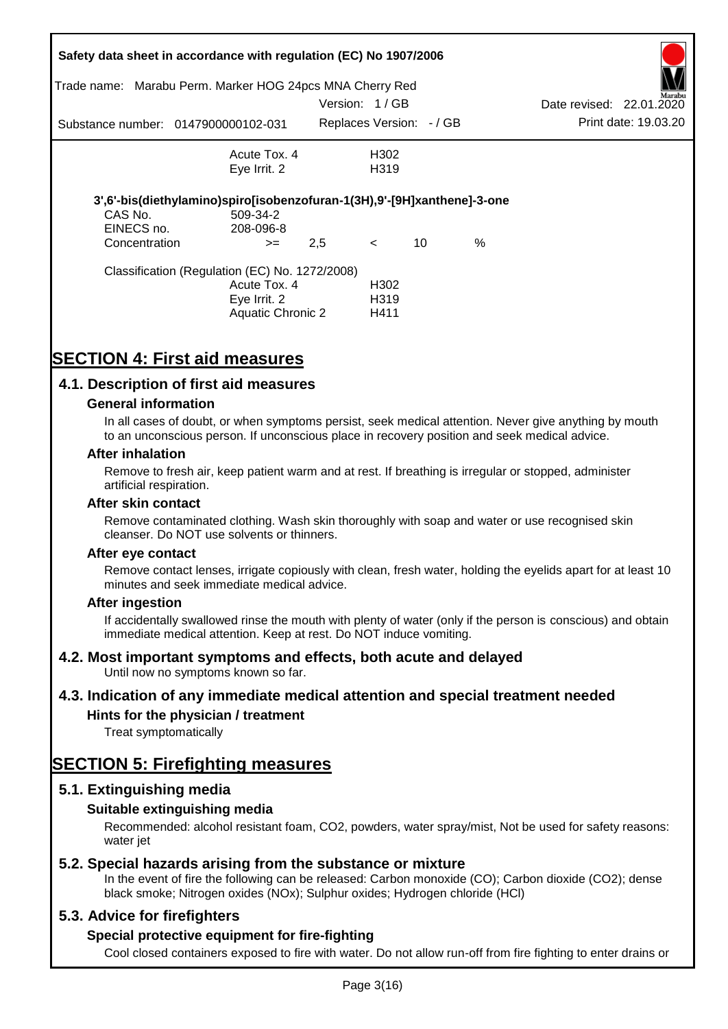| Trade name:   | Safety data sheet in accordance with regulation (EC) No 1907/2006<br>Marabu Perm. Marker HOG 24pcs MNA Cherry Red |               |                          |    |      |                          |                      |
|---------------|-------------------------------------------------------------------------------------------------------------------|---------------|--------------------------|----|------|--------------------------|----------------------|
|               |                                                                                                                   | Version: 1/GB |                          |    |      | Date revised: 22.01.2020 | Marabu               |
|               | Substance number: 0147900000102-031                                                                               |               | Replaces Version: - / GB |    |      |                          | Print date: 19.03.20 |
|               | Acute Tox. 4                                                                                                      |               | H302                     |    |      |                          |                      |
|               | Eye Irrit. 2                                                                                                      |               | H <sub>3</sub> 19        |    |      |                          |                      |
|               | 3',6'-bis(diethylamino)spiro[isobenzofuran-1(3H),9'-[9H]xanthene]-3-one                                           |               |                          |    |      |                          |                      |
| CAS No.       | 509-34-2                                                                                                          |               |                          |    |      |                          |                      |
| EINECS no.    | 208-096-8                                                                                                         |               |                          |    |      |                          |                      |
| Concentration | $>=$                                                                                                              | 2,5           | $\lt$                    | 10 | $\%$ |                          |                      |
|               | Classification (Regulation (EC) No. 1272/2008)                                                                    |               |                          |    |      |                          |                      |
|               | Acute Tox. 4                                                                                                      |               | H <sub>302</sub>         |    |      |                          |                      |
|               | Eye Irrit. 2                                                                                                      |               | H <sub>3</sub> 19        |    |      |                          |                      |
|               | Aquatic Chronic 2                                                                                                 |               | H411                     |    |      |                          |                      |

# **SECTION 4: First aid measures**

### **4.1. Description of first aid measures**

#### **General information**

In all cases of doubt, or when symptoms persist, seek medical attention. Never give anything by mouth to an unconscious person. If unconscious place in recovery position and seek medical advice.

#### **After inhalation**

Remove to fresh air, keep patient warm and at rest. If breathing is irregular or stopped, administer artificial respiration.

#### **After skin contact**

Remove contaminated clothing. Wash skin thoroughly with soap and water or use recognised skin cleanser. Do NOT use solvents or thinners.

#### **After eye contact**

Remove contact lenses, irrigate copiously with clean, fresh water, holding the eyelids apart for at least 10 minutes and seek immediate medical advice.

#### **After ingestion**

If accidentally swallowed rinse the mouth with plenty of water (only if the person is conscious) and obtain immediate medical attention. Keep at rest. Do NOT induce vomiting.

### **4.2. Most important symptoms and effects, both acute and delayed**

Until now no symptoms known so far.

### **4.3. Indication of any immediate medical attention and special treatment needed**

### **Hints for the physician / treatment**

Treat symptomatically

# **SECTION 5: Firefighting measures**

### **5.1. Extinguishing media**

### **Suitable extinguishing media**

Recommended: alcohol resistant foam, CO2, powders, water spray/mist, Not be used for safety reasons: water *iet* 

### **5.2. Special hazards arising from the substance or mixture**

In the event of fire the following can be released: Carbon monoxide (CO); Carbon dioxide (CO2); dense black smoke; Nitrogen oxides (NOx); Sulphur oxides; Hydrogen chloride (HCl)

### **5.3. Advice for firefighters**

### **Special protective equipment for fire-fighting**

Cool closed containers exposed to fire with water. Do not allow run-off from fire fighting to enter drains or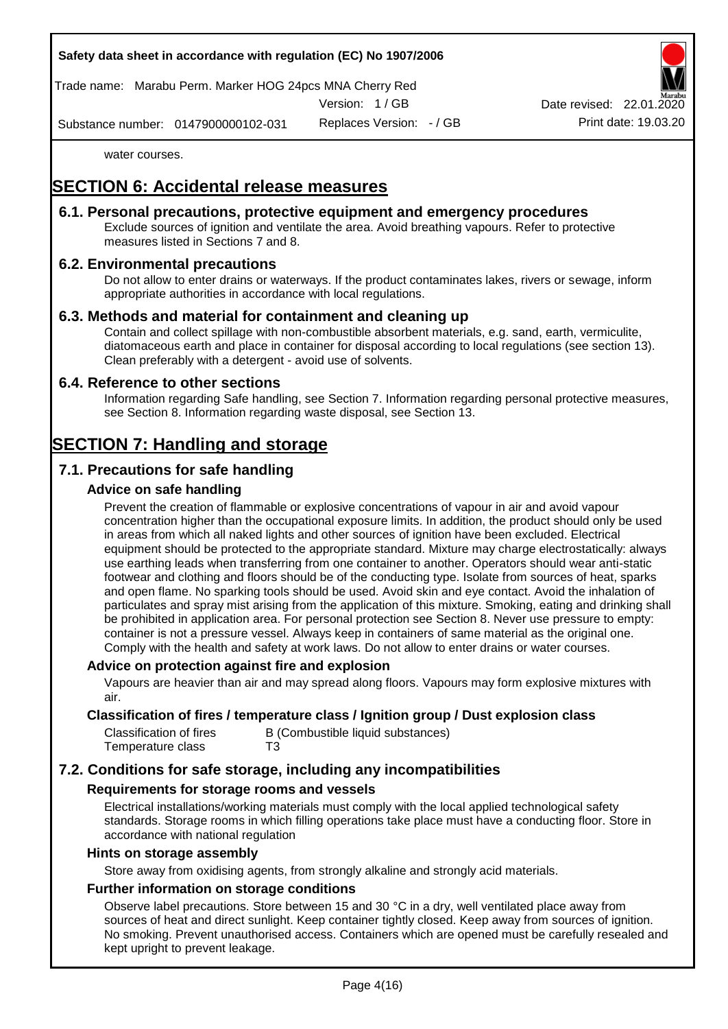

Trade name: Marabu Perm. Marker HOG 24pcs MNA Cherry Red

Version: 1 / GB

Replaces Version: - / GB Print date: 19.03.20 Date revised: 22.01.

Substance number: 0147900000102-031

water courses.

# **SECTION 6: Accidental release measures**

### **6.1. Personal precautions, protective equipment and emergency procedures**

Exclude sources of ignition and ventilate the area. Avoid breathing vapours. Refer to protective measures listed in Sections 7 and 8.

### **6.2. Environmental precautions**

Do not allow to enter drains or waterways. If the product contaminates lakes, rivers or sewage, inform appropriate authorities in accordance with local regulations.

### **6.3. Methods and material for containment and cleaning up**

Contain and collect spillage with non-combustible absorbent materials, e.g. sand, earth, vermiculite, diatomaceous earth and place in container for disposal according to local regulations (see section 13). Clean preferably with a detergent - avoid use of solvents.

### **6.4. Reference to other sections**

Information regarding Safe handling, see Section 7. Information regarding personal protective measures, see Section 8. Information regarding waste disposal, see Section 13.

# **SECTION 7: Handling and storage**

### **7.1. Precautions for safe handling**

### **Advice on safe handling**

Prevent the creation of flammable or explosive concentrations of vapour in air and avoid vapour concentration higher than the occupational exposure limits. In addition, the product should only be used in areas from which all naked lights and other sources of ignition have been excluded. Electrical equipment should be protected to the appropriate standard. Mixture may charge electrostatically: always use earthing leads when transferring from one container to another. Operators should wear anti-static footwear and clothing and floors should be of the conducting type. Isolate from sources of heat, sparks and open flame. No sparking tools should be used. Avoid skin and eye contact. Avoid the inhalation of particulates and spray mist arising from the application of this mixture. Smoking, eating and drinking shall be prohibited in application area. For personal protection see Section 8. Never use pressure to empty: container is not a pressure vessel. Always keep in containers of same material as the original one. Comply with the health and safety at work laws. Do not allow to enter drains or water courses.

### **Advice on protection against fire and explosion**

Vapours are heavier than air and may spread along floors. Vapours may form explosive mixtures with air.

#### **Classification of fires / temperature class / Ignition group / Dust explosion class**

| Classification of fires | B (Combustible liquid substances) |
|-------------------------|-----------------------------------|
| Temperature class       | T3                                |

### **7.2. Conditions for safe storage, including any incompatibilities**

### **Requirements for storage rooms and vessels**

Electrical installations/working materials must comply with the local applied technological safety standards. Storage rooms in which filling operations take place must have a conducting floor. Store in accordance with national regulation

#### **Hints on storage assembly**

Store away from oxidising agents, from strongly alkaline and strongly acid materials.

### **Further information on storage conditions**

Observe label precautions. Store between 15 and 30 °C in a dry, well ventilated place away from sources of heat and direct sunlight. Keep container tightly closed. Keep away from sources of ignition. No smoking. Prevent unauthorised access. Containers which are opened must be carefully resealed and kept upright to prevent leakage.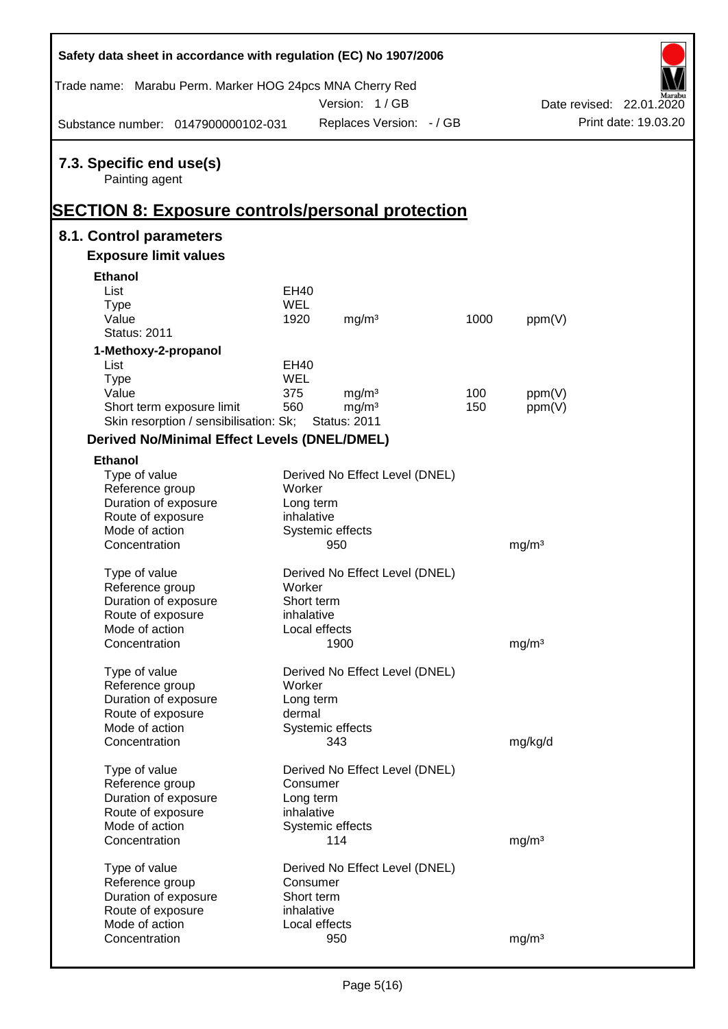| Safety data sheet in accordance with regulation (EC) No 1907/2006                                     |            |                                |      |                   |                          |
|-------------------------------------------------------------------------------------------------------|------------|--------------------------------|------|-------------------|--------------------------|
| Trade name: Marabu Perm. Marker HOG 24pcs MNA Cherry Red                                              |            | Version: 1/GB                  |      |                   | Date revised: 22.01.2020 |
| Substance number: 0147900000102-031                                                                   |            | Replaces Version: - / GB       |      |                   | Print date: 19.03.20     |
| 7.3. Specific end use(s)<br>Painting agent<br><b>SECTION 8: Exposure controls/personal protection</b> |            |                                |      |                   |                          |
| 8.1. Control parameters                                                                               |            |                                |      |                   |                          |
| <b>Exposure limit values</b>                                                                          |            |                                |      |                   |                          |
| <b>Ethanol</b>                                                                                        |            |                                |      |                   |                          |
| List                                                                                                  | EH40       |                                |      |                   |                          |
| <b>Type</b>                                                                                           | <b>WEL</b> |                                |      |                   |                          |
| Value                                                                                                 | 1920       | mg/m <sup>3</sup>              | 1000 | ppm(V)            |                          |
| <b>Status: 2011</b>                                                                                   |            |                                |      |                   |                          |
| 1-Methoxy-2-propanol                                                                                  |            |                                |      |                   |                          |
| List                                                                                                  | EH40       |                                |      |                   |                          |
| <b>Type</b>                                                                                           | WEL        |                                |      |                   |                          |
| Value                                                                                                 | 375        | mg/m <sup>3</sup>              | 100  | ppm(V)            |                          |
| Short term exposure limit                                                                             | 560        | mg/m <sup>3</sup>              | 150  | ppm(V)            |                          |
| Skin resorption / sensibilisation: Sk;                                                                |            | <b>Status: 2011</b>            |      |                   |                          |
| <b>Derived No/Minimal Effect Levels (DNEL/DMEL)</b>                                                   |            |                                |      |                   |                          |
| <b>Ethanol</b>                                                                                        |            |                                |      |                   |                          |
| Type of value                                                                                         |            | Derived No Effect Level (DNEL) |      |                   |                          |
| Reference group                                                                                       | Worker     |                                |      |                   |                          |
| Duration of exposure                                                                                  | Long term  |                                |      |                   |                          |
| Route of exposure                                                                                     | inhalative |                                |      |                   |                          |
| Mode of action                                                                                        |            | Systemic effects               |      |                   |                          |
| Concentration                                                                                         |            | 950                            |      | mg/m <sup>3</sup> |                          |
| Type of value                                                                                         |            | Derived No Effect Level (DNEL) |      |                   |                          |
| Reference group                                                                                       | Worker     |                                |      |                   |                          |
| Duration of exposure                                                                                  | Short term |                                |      |                   |                          |
| Route of exposure                                                                                     | inhalative |                                |      |                   |                          |
| Mode of action                                                                                        |            | Local effects                  |      |                   |                          |
| Concentration                                                                                         |            | 1900                           |      | mg/m <sup>3</sup> |                          |
|                                                                                                       |            |                                |      |                   |                          |
| Type of value                                                                                         |            | Derived No Effect Level (DNEL) |      |                   |                          |
| Reference group                                                                                       | Worker     |                                |      |                   |                          |
| Duration of exposure                                                                                  | Long term  |                                |      |                   |                          |
| Route of exposure                                                                                     | dermal     |                                |      |                   |                          |
| Mode of action                                                                                        |            | Systemic effects               |      |                   |                          |
| Concentration                                                                                         |            | 343                            |      | mg/kg/d           |                          |
| Type of value                                                                                         |            | Derived No Effect Level (DNEL) |      |                   |                          |
| Reference group                                                                                       | Consumer   |                                |      |                   |                          |
| Duration of exposure                                                                                  | Long term  |                                |      |                   |                          |
| Route of exposure                                                                                     | inhalative |                                |      |                   |                          |
| Mode of action                                                                                        |            | Systemic effects               |      |                   |                          |
| Concentration                                                                                         |            | 114                            |      | mg/m <sup>3</sup> |                          |
|                                                                                                       |            |                                |      |                   |                          |
| Type of value                                                                                         |            | Derived No Effect Level (DNEL) |      |                   |                          |
| Reference group                                                                                       | Consumer   |                                |      |                   |                          |
| Duration of exposure                                                                                  | Short term |                                |      |                   |                          |
| Route of exposure<br>Mode of action                                                                   | inhalative | Local effects                  |      |                   |                          |
| Concentration                                                                                         |            | 950                            |      | mg/m <sup>3</sup> |                          |
|                                                                                                       |            |                                |      |                   |                          |

Ī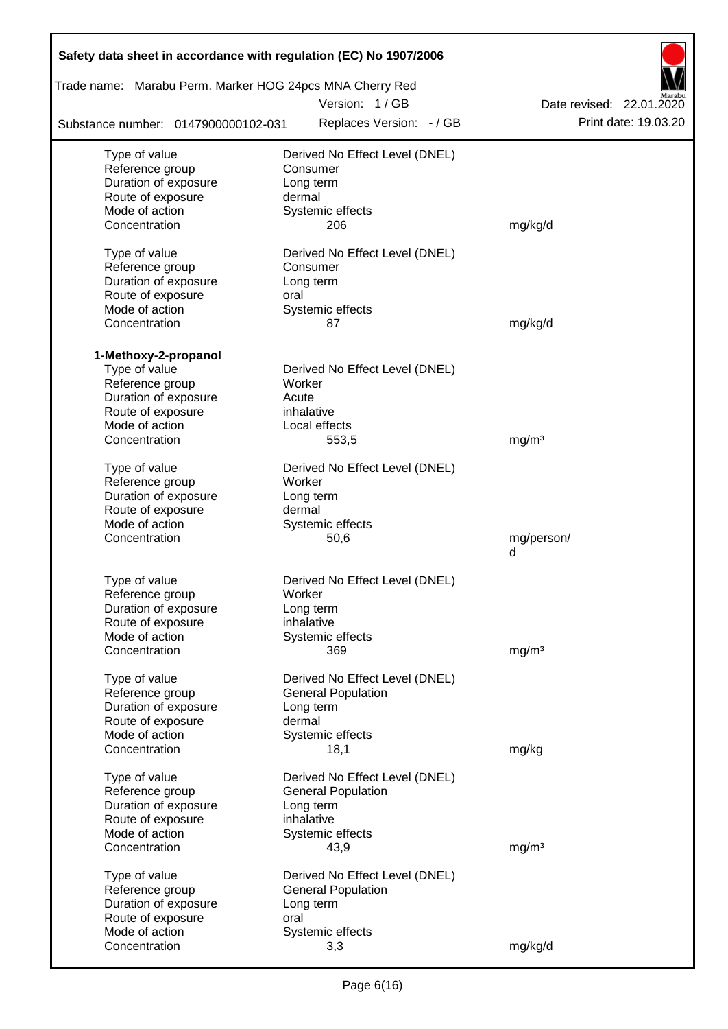| Safety data sheet in accordance with regulation (EC) No 1907/2006<br>Trade name: Marabu Perm. Marker HOG 24pcs MNA Cherry Red |                                |                          |
|-------------------------------------------------------------------------------------------------------------------------------|--------------------------------|--------------------------|
|                                                                                                                               | Version: 1/GB                  | Date revised: 22.01.2020 |
| Substance number: 0147900000102-031                                                                                           | Replaces Version: - / GB       | Print date: 19.03.20     |
| Type of value                                                                                                                 | Derived No Effect Level (DNEL) |                          |
| Reference group                                                                                                               | Consumer                       |                          |
| Duration of exposure                                                                                                          | Long term                      |                          |
| Route of exposure                                                                                                             | dermal                         |                          |
| Mode of action                                                                                                                | Systemic effects               |                          |
| Concentration                                                                                                                 | 206                            | mg/kg/d                  |
| Type of value                                                                                                                 | Derived No Effect Level (DNEL) |                          |
| Reference group                                                                                                               | Consumer                       |                          |
| Duration of exposure                                                                                                          | Long term                      |                          |
| Route of exposure                                                                                                             | oral                           |                          |
| Mode of action                                                                                                                | Systemic effects               |                          |
| Concentration                                                                                                                 | 87                             | mg/kg/d                  |
| 1-Methoxy-2-propanol                                                                                                          |                                |                          |
| Type of value                                                                                                                 | Derived No Effect Level (DNEL) |                          |
| Reference group                                                                                                               | Worker                         |                          |
| Duration of exposure                                                                                                          | Acute                          |                          |
| Route of exposure                                                                                                             | inhalative                     |                          |
| Mode of action                                                                                                                | Local effects                  |                          |
| Concentration                                                                                                                 | 553,5                          | mg/m <sup>3</sup>        |
| Type of value                                                                                                                 | Derived No Effect Level (DNEL) |                          |
| Reference group                                                                                                               | Worker                         |                          |
| Duration of exposure                                                                                                          | Long term                      |                          |
| Route of exposure                                                                                                             | dermal                         |                          |
| Mode of action                                                                                                                | Systemic effects               |                          |
| Concentration                                                                                                                 | 50,6                           | mg/person/               |
|                                                                                                                               |                                | d                        |
| Type of value                                                                                                                 | Derived No Effect Level (DNEL) |                          |
| Reference group                                                                                                               | Worker                         |                          |
| Duration of exposure                                                                                                          | Long term                      |                          |
| Route of exposure                                                                                                             | inhalative                     |                          |
| Mode of action                                                                                                                | Systemic effects               |                          |
| Concentration                                                                                                                 | 369                            | mg/m <sup>3</sup>        |
| Type of value                                                                                                                 | Derived No Effect Level (DNEL) |                          |
| Reference group                                                                                                               | <b>General Population</b>      |                          |
| Duration of exposure                                                                                                          | Long term                      |                          |
| Route of exposure                                                                                                             | dermal                         |                          |
| Mode of action                                                                                                                | Systemic effects               |                          |
| Concentration                                                                                                                 | 18,1                           | mg/kg                    |
| Type of value                                                                                                                 | Derived No Effect Level (DNEL) |                          |
| Reference group                                                                                                               | <b>General Population</b>      |                          |
| Duration of exposure                                                                                                          | Long term                      |                          |
| Route of exposure                                                                                                             | inhalative                     |                          |
| Mode of action                                                                                                                | Systemic effects               |                          |
| Concentration                                                                                                                 | 43,9                           | mg/m <sup>3</sup>        |
| Type of value                                                                                                                 | Derived No Effect Level (DNEL) |                          |
| Reference group                                                                                                               | <b>General Population</b>      |                          |
| Duration of exposure                                                                                                          | Long term                      |                          |
| Route of exposure                                                                                                             | oral                           |                          |
| Mode of action                                                                                                                | Systemic effects               |                          |
| Concentration                                                                                                                 | 3,3                            | mg/kg/d                  |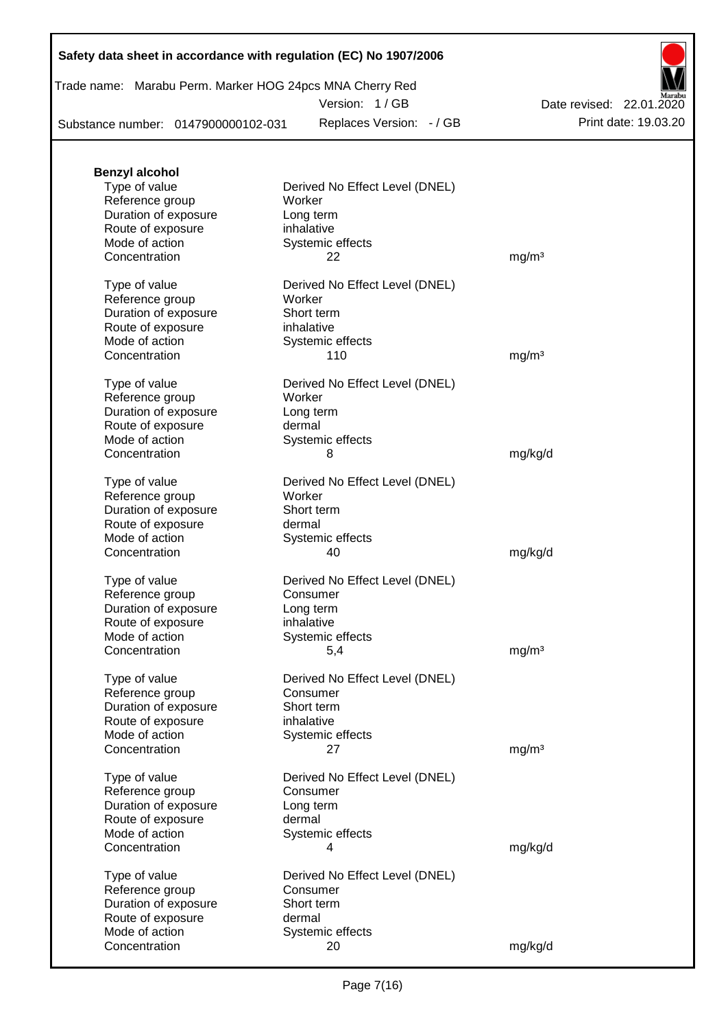### **Safety data sheet in accordance with regulation (EC) No 1907/2006**

Trade name: Marabu Perm. Marker HOG 24pcs MNA Cherry Red

Version: 1 / GB

Substance number: 0147900000102-031

Replaces Version: - / GB Print date: 19.03.20 Date revised: 22.01.2020

| <b>Benzyl alcohol</b>               |                                |                   |
|-------------------------------------|--------------------------------|-------------------|
| Type of value                       | Derived No Effect Level (DNEL) |                   |
| Reference group                     | Worker                         |                   |
| Duration of exposure                | Long term                      |                   |
| Route of exposure                   | inhalative                     |                   |
| Mode of action                      | Systemic effects               |                   |
| Concentration                       | 22                             | mg/m <sup>3</sup> |
|                                     |                                |                   |
| Type of value                       | Derived No Effect Level (DNEL) |                   |
| Reference group                     | Worker                         |                   |
| Duration of exposure                | Short term                     |                   |
| Route of exposure                   | inhalative                     |                   |
| Mode of action                      | Systemic effects               |                   |
| Concentration                       | 110                            | mg/m <sup>3</sup> |
| Type of value                       | Derived No Effect Level (DNEL) |                   |
| Reference group                     | Worker                         |                   |
| Duration of exposure                | Long term                      |                   |
| Route of exposure                   | dermal                         |                   |
| Mode of action                      | Systemic effects               |                   |
| Concentration                       | 8                              | mg/kg/d           |
|                                     |                                |                   |
| Type of value                       | Derived No Effect Level (DNEL) |                   |
| Reference group                     | Worker                         |                   |
| Duration of exposure                | Short term                     |                   |
| Route of exposure                   | dermal                         |                   |
| Mode of action                      | Systemic effects               |                   |
| Concentration                       | 40                             | mg/kg/d           |
|                                     |                                |                   |
| Type of value                       | Derived No Effect Level (DNEL) |                   |
| Reference group                     | Consumer                       |                   |
| Duration of exposure                | Long term                      |                   |
| Route of exposure                   | inhalative                     |                   |
| Mode of action                      | Systemic effects               |                   |
| Concentration                       | 5,4                            | mg/m <sup>3</sup> |
| Type of value                       | Derived No Effect Level (DNEL) |                   |
| Reference group                     | Consumer                       |                   |
| Duration of exposure                | Short term                     |                   |
| Route of exposure                   | inhalative                     |                   |
| Mode of action                      | Systemic effects               |                   |
| Concentration                       | 27                             | mg/m <sup>3</sup> |
|                                     |                                |                   |
| Type of value                       | Derived No Effect Level (DNEL) |                   |
| Reference group                     | Consumer                       |                   |
| Duration of exposure                | Long term                      |                   |
| Route of exposure                   | dermal                         |                   |
| Mode of action                      | Systemic effects               |                   |
| Concentration                       | 4                              | mg/kg/d           |
| Type of value                       | Derived No Effect Level (DNEL) |                   |
| Reference group                     | Consumer                       |                   |
| Duration of exposure                | Short term                     |                   |
|                                     | dermal                         |                   |
| Route of exposure<br>Mode of action |                                |                   |
|                                     | Systemic effects               |                   |
| Concentration                       | 20                             | mg/kg/d           |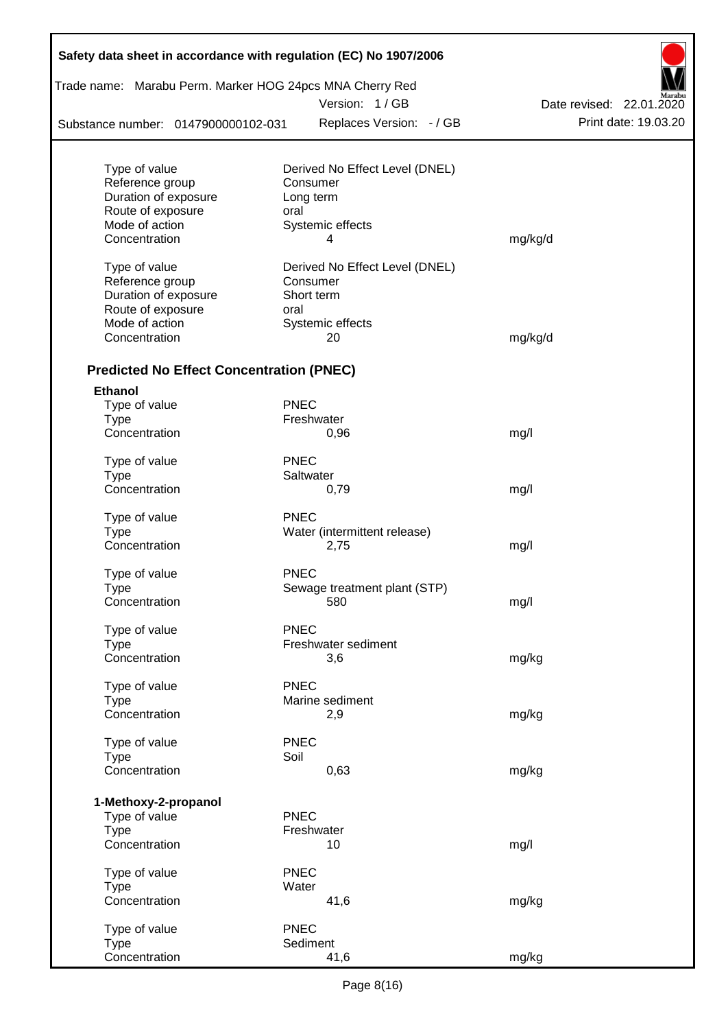| Trade name: Marabu Perm. Marker HOG 24pcs MNA Cherry Red |             | Version: 1 / GB                |                                                  |
|----------------------------------------------------------|-------------|--------------------------------|--------------------------------------------------|
|                                                          |             | Replaces Version: - / GB       | Date revised: 22.01.2020<br>Print date: 19.03.20 |
| Substance number: 0147900000102-031                      |             |                                |                                                  |
| Type of value                                            |             | Derived No Effect Level (DNEL) |                                                  |
| Reference group                                          |             | Consumer                       |                                                  |
| Duration of exposure                                     |             | Long term                      |                                                  |
| Route of exposure                                        | oral        |                                |                                                  |
| Mode of action                                           |             | Systemic effects               |                                                  |
| Concentration                                            |             | 4                              | mg/kg/d                                          |
| Type of value                                            |             | Derived No Effect Level (DNEL) |                                                  |
| Reference group                                          |             | Consumer                       |                                                  |
| Duration of exposure                                     |             | Short term                     |                                                  |
| Route of exposure                                        | oral        |                                |                                                  |
| Mode of action                                           |             | Systemic effects               |                                                  |
| Concentration                                            |             | 20                             | mg/kg/d                                          |
| <b>Predicted No Effect Concentration (PNEC)</b>          |             |                                |                                                  |
| <b>Ethanol</b>                                           |             |                                |                                                  |
| Type of value                                            | <b>PNEC</b> |                                |                                                  |
| <b>Type</b>                                              |             | Freshwater                     |                                                  |
| Concentration                                            |             | 0,96                           | mg/l                                             |
| Type of value                                            | <b>PNEC</b> |                                |                                                  |
| Type                                                     |             | Saltwater                      |                                                  |
| Concentration                                            |             | 0,79                           | mg/l                                             |
| Type of value                                            | <b>PNEC</b> |                                |                                                  |
| <b>Type</b>                                              |             | Water (intermittent release)   |                                                  |
| Concentration                                            |             | 2,75                           | mg/l                                             |
| Type of value                                            | <b>PNEC</b> |                                |                                                  |
| Type                                                     |             | Sewage treatment plant (STP)   |                                                  |
| Concentration                                            |             | 580                            | mg/l                                             |
| Type of value                                            | <b>PNEC</b> |                                |                                                  |
| Type                                                     |             | Freshwater sediment            |                                                  |
| Concentration                                            |             | 3,6                            | mg/kg                                            |
| Type of value                                            | <b>PNEC</b> |                                |                                                  |
| Type                                                     |             | Marine sediment                |                                                  |
| Concentration                                            |             | 2,9                            | mg/kg                                            |
|                                                          | <b>PNEC</b> |                                |                                                  |
| Type of value                                            |             |                                |                                                  |
| <b>Type</b><br>Concentration                             | Soil        | 0,63                           | mg/kg                                            |
|                                                          |             |                                |                                                  |
| 1-Methoxy-2-propanol<br>Type of value                    | <b>PNEC</b> |                                |                                                  |
| <b>Type</b>                                              |             | Freshwater                     |                                                  |
| Concentration                                            |             | 10                             | mg/l                                             |
| Type of value                                            | <b>PNEC</b> |                                |                                                  |
| <b>Type</b>                                              | Water       |                                |                                                  |
| Concentration                                            |             | 41,6                           | mg/kg                                            |
|                                                          |             |                                |                                                  |
| Type of value<br>Type                                    | <b>PNEC</b> | Sediment                       |                                                  |
| Concentration                                            |             | 41,6                           | mg/kg                                            |

Г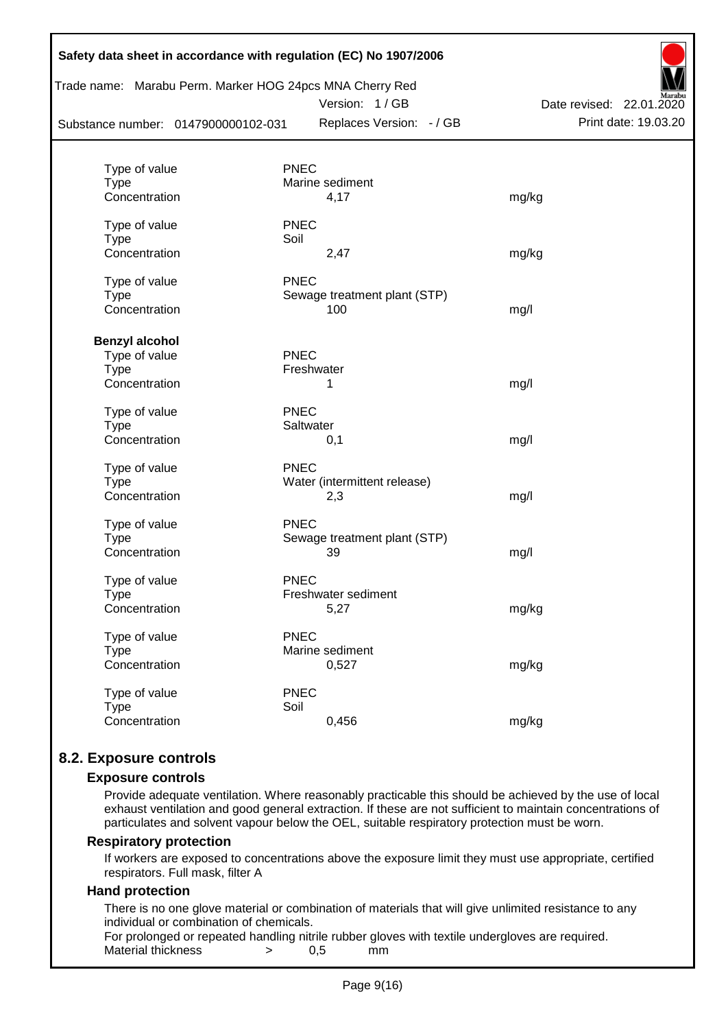| Substance number: 0147900000102-031 | Trade name: Marabu Perm. Marker HOG 24pcs MNA Cherry Red<br>Version: 1/GB<br>Replaces Version: - / GB | Date revised: 22.01.2020<br>Print date: 19.03.20 |
|-------------------------------------|-------------------------------------------------------------------------------------------------------|--------------------------------------------------|
|                                     |                                                                                                       |                                                  |
| Type of value<br><b>Type</b>        | <b>PNEC</b><br>Marine sediment                                                                        |                                                  |
| Concentration                       | 4,17                                                                                                  | mg/kg                                            |
| Type of value                       | <b>PNEC</b>                                                                                           |                                                  |
| <b>Type</b>                         | Soil                                                                                                  |                                                  |
| Concentration                       | 2,47                                                                                                  | mg/kg                                            |
| Type of value                       | <b>PNEC</b>                                                                                           |                                                  |
| <b>Type</b>                         | Sewage treatment plant (STP)                                                                          |                                                  |
| Concentration                       | 100                                                                                                   | mg/l                                             |
| <b>Benzyl alcohol</b>               |                                                                                                       |                                                  |
| Type of value                       | <b>PNEC</b>                                                                                           |                                                  |
| <b>Type</b>                         | Freshwater                                                                                            |                                                  |
| Concentration                       | 1                                                                                                     | mg/l                                             |
| Type of value                       | <b>PNEC</b>                                                                                           |                                                  |
| <b>Type</b>                         | Saltwater                                                                                             |                                                  |
| Concentration                       | 0,1                                                                                                   | mg/l                                             |
| Type of value                       | <b>PNEC</b>                                                                                           |                                                  |
| <b>Type</b>                         | Water (intermittent release)                                                                          |                                                  |
| Concentration                       | 2,3                                                                                                   | mg/l                                             |
| Type of value                       | <b>PNEC</b>                                                                                           |                                                  |
| <b>Type</b>                         | Sewage treatment plant (STP)                                                                          |                                                  |
| Concentration                       | 39                                                                                                    | mg/l                                             |
| Type of value                       | <b>PNEC</b>                                                                                           |                                                  |
| Type                                | Freshwater sediment                                                                                   |                                                  |
| Concentration                       | 5,27                                                                                                  | mg/kg                                            |
| Type of value                       | <b>PNEC</b>                                                                                           |                                                  |
| <b>Type</b>                         | Marine sediment                                                                                       |                                                  |
| Concentration                       | 0,527                                                                                                 | mg/kg                                            |
| Type of value                       | <b>PNEC</b>                                                                                           |                                                  |
| <b>Type</b>                         | Soil                                                                                                  |                                                  |
| Concentration                       | 0,456                                                                                                 | mg/kg                                            |

### **8.2. Exposure controls**

#### **Exposure controls**

Provide adequate ventilation. Where reasonably practicable this should be achieved by the use of local exhaust ventilation and good general extraction. If these are not sufficient to maintain concentrations of particulates and solvent vapour below the OEL, suitable respiratory protection must be worn.

#### **Respiratory protection**

If workers are exposed to concentrations above the exposure limit they must use appropriate, certified respirators. Full mask, filter A

#### **Hand protection**

There is no one glove material or combination of materials that will give unlimited resistance to any individual or combination of chemicals.

For prolonged or repeated handling nitrile rubber gloves with textile undergloves are required. Material thickness  $\rightarrow$  0.5 mm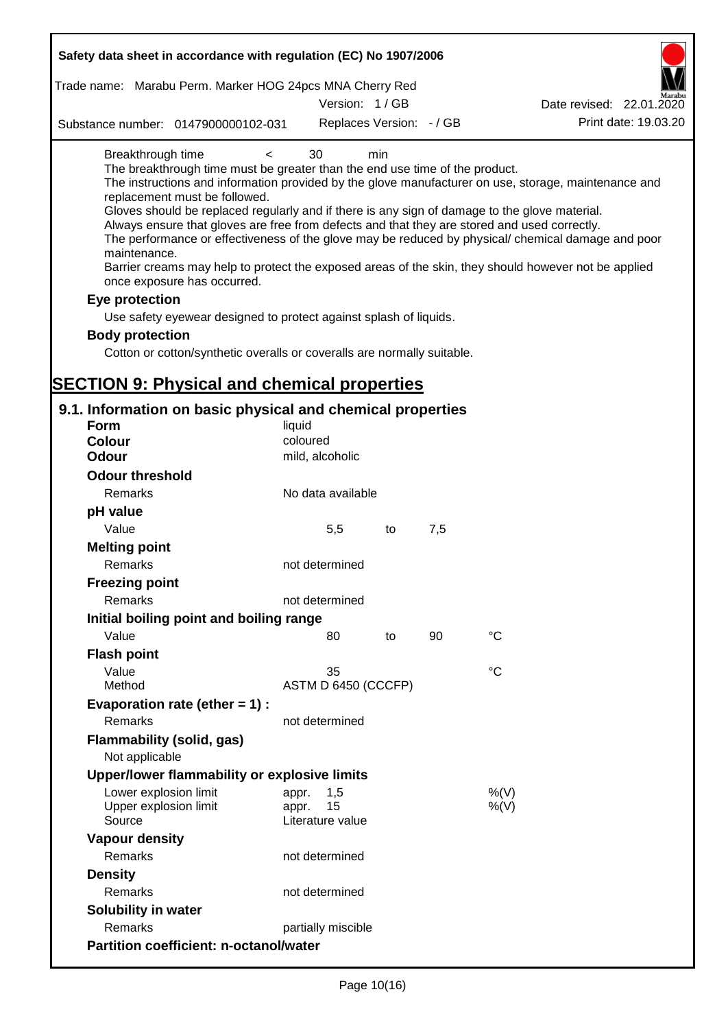| Safety data sheet in accordance with regulation (EC) No 1907/2006                                                                                                                                                                                                                                                                                                                                             |                                                 |     |     |                                                                                                                                                                                                                                                                                                                    |
|---------------------------------------------------------------------------------------------------------------------------------------------------------------------------------------------------------------------------------------------------------------------------------------------------------------------------------------------------------------------------------------------------------------|-------------------------------------------------|-----|-----|--------------------------------------------------------------------------------------------------------------------------------------------------------------------------------------------------------------------------------------------------------------------------------------------------------------------|
| Trade name: Marabu Perm. Marker HOG 24pcs MNA Cherry Red                                                                                                                                                                                                                                                                                                                                                      |                                                 |     |     |                                                                                                                                                                                                                                                                                                                    |
|                                                                                                                                                                                                                                                                                                                                                                                                               | Version: 1/GB                                   |     |     | Date revised: 22.01.2020                                                                                                                                                                                                                                                                                           |
| Substance number: 0147900000102-031                                                                                                                                                                                                                                                                                                                                                                           | Replaces Version: - / GB                        |     |     | Print date: 19.03.20                                                                                                                                                                                                                                                                                               |
| Breakthrough time<br>$\overline{\phantom{0}}$<br>The breakthrough time must be greater than the end use time of the product.<br>replacement must be followed.<br>Gloves should be replaced regularly and if there is any sign of damage to the glove material.<br>Always ensure that gloves are free from defects and that they are stored and used correctly.<br>maintenance.<br>once exposure has occurred. | 30                                              | min |     | The instructions and information provided by the glove manufacturer on use, storage, maintenance and<br>The performance or effectiveness of the glove may be reduced by physical/ chemical damage and poor<br>Barrier creams may help to protect the exposed areas of the skin, they should however not be applied |
| Eye protection                                                                                                                                                                                                                                                                                                                                                                                                |                                                 |     |     |                                                                                                                                                                                                                                                                                                                    |
| Use safety eyewear designed to protect against splash of liquids.                                                                                                                                                                                                                                                                                                                                             |                                                 |     |     |                                                                                                                                                                                                                                                                                                                    |
| <b>Body protection</b>                                                                                                                                                                                                                                                                                                                                                                                        |                                                 |     |     |                                                                                                                                                                                                                                                                                                                    |
| Cotton or cotton/synthetic overalls or coveralls are normally suitable.                                                                                                                                                                                                                                                                                                                                       |                                                 |     |     |                                                                                                                                                                                                                                                                                                                    |
|                                                                                                                                                                                                                                                                                                                                                                                                               |                                                 |     |     |                                                                                                                                                                                                                                                                                                                    |
| <b>SECTION 9: Physical and chemical properties</b>                                                                                                                                                                                                                                                                                                                                                            |                                                 |     |     |                                                                                                                                                                                                                                                                                                                    |
| 9.1. Information on basic physical and chemical properties                                                                                                                                                                                                                                                                                                                                                    |                                                 |     |     |                                                                                                                                                                                                                                                                                                                    |
| <b>Form</b>                                                                                                                                                                                                                                                                                                                                                                                                   | liquid                                          |     |     |                                                                                                                                                                                                                                                                                                                    |
| <b>Colour</b>                                                                                                                                                                                                                                                                                                                                                                                                 | coloured                                        |     |     |                                                                                                                                                                                                                                                                                                                    |
| <b>Odour</b>                                                                                                                                                                                                                                                                                                                                                                                                  | mild, alcoholic                                 |     |     |                                                                                                                                                                                                                                                                                                                    |
| <b>Odour threshold</b>                                                                                                                                                                                                                                                                                                                                                                                        |                                                 |     |     |                                                                                                                                                                                                                                                                                                                    |
| Remarks                                                                                                                                                                                                                                                                                                                                                                                                       | No data available                               |     |     |                                                                                                                                                                                                                                                                                                                    |
| pH value                                                                                                                                                                                                                                                                                                                                                                                                      |                                                 |     |     |                                                                                                                                                                                                                                                                                                                    |
| Value                                                                                                                                                                                                                                                                                                                                                                                                         | 5,5                                             | to  | 7,5 |                                                                                                                                                                                                                                                                                                                    |
| <b>Melting point</b><br>Remarks                                                                                                                                                                                                                                                                                                                                                                               | not determined                                  |     |     |                                                                                                                                                                                                                                                                                                                    |
| <b>Freezing point</b>                                                                                                                                                                                                                                                                                                                                                                                         |                                                 |     |     |                                                                                                                                                                                                                                                                                                                    |
| Remarks                                                                                                                                                                                                                                                                                                                                                                                                       | not determined                                  |     |     |                                                                                                                                                                                                                                                                                                                    |
| Initial boiling point and boiling range                                                                                                                                                                                                                                                                                                                                                                       |                                                 |     |     |                                                                                                                                                                                                                                                                                                                    |
| Value                                                                                                                                                                                                                                                                                                                                                                                                         | 80                                              | to  | 90  | $^{\circ}C$                                                                                                                                                                                                                                                                                                        |
| <b>Flash point</b>                                                                                                                                                                                                                                                                                                                                                                                            |                                                 |     |     |                                                                                                                                                                                                                                                                                                                    |
| Value                                                                                                                                                                                                                                                                                                                                                                                                         | 35                                              |     |     | $^{\circ}C$                                                                                                                                                                                                                                                                                                        |
| Method                                                                                                                                                                                                                                                                                                                                                                                                        | ASTM D 6450 (CCCFP)                             |     |     |                                                                                                                                                                                                                                                                                                                    |
| Evaporation rate (ether $= 1$ ) :<br><b>Remarks</b>                                                                                                                                                                                                                                                                                                                                                           | not determined                                  |     |     |                                                                                                                                                                                                                                                                                                                    |
| <b>Flammability (solid, gas)</b>                                                                                                                                                                                                                                                                                                                                                                              |                                                 |     |     |                                                                                                                                                                                                                                                                                                                    |
| Not applicable                                                                                                                                                                                                                                                                                                                                                                                                |                                                 |     |     |                                                                                                                                                                                                                                                                                                                    |
| Upper/lower flammability or explosive limits                                                                                                                                                                                                                                                                                                                                                                  |                                                 |     |     |                                                                                                                                                                                                                                                                                                                    |
| Lower explosion limit<br>Upper explosion limit<br>Source                                                                                                                                                                                                                                                                                                                                                      | 1,5<br>appr.<br>15<br>appr.<br>Literature value |     |     | %(V)<br>$%$ (V)                                                                                                                                                                                                                                                                                                    |
| <b>Vapour density</b>                                                                                                                                                                                                                                                                                                                                                                                         |                                                 |     |     |                                                                                                                                                                                                                                                                                                                    |
| Remarks                                                                                                                                                                                                                                                                                                                                                                                                       | not determined                                  |     |     |                                                                                                                                                                                                                                                                                                                    |
| <b>Density</b>                                                                                                                                                                                                                                                                                                                                                                                                |                                                 |     |     |                                                                                                                                                                                                                                                                                                                    |
| Remarks                                                                                                                                                                                                                                                                                                                                                                                                       | not determined                                  |     |     |                                                                                                                                                                                                                                                                                                                    |
| <b>Solubility in water</b>                                                                                                                                                                                                                                                                                                                                                                                    |                                                 |     |     |                                                                                                                                                                                                                                                                                                                    |
| Remarks                                                                                                                                                                                                                                                                                                                                                                                                       | partially miscible                              |     |     |                                                                                                                                                                                                                                                                                                                    |
| <b>Partition coefficient: n-octanol/water</b>                                                                                                                                                                                                                                                                                                                                                                 |                                                 |     |     |                                                                                                                                                                                                                                                                                                                    |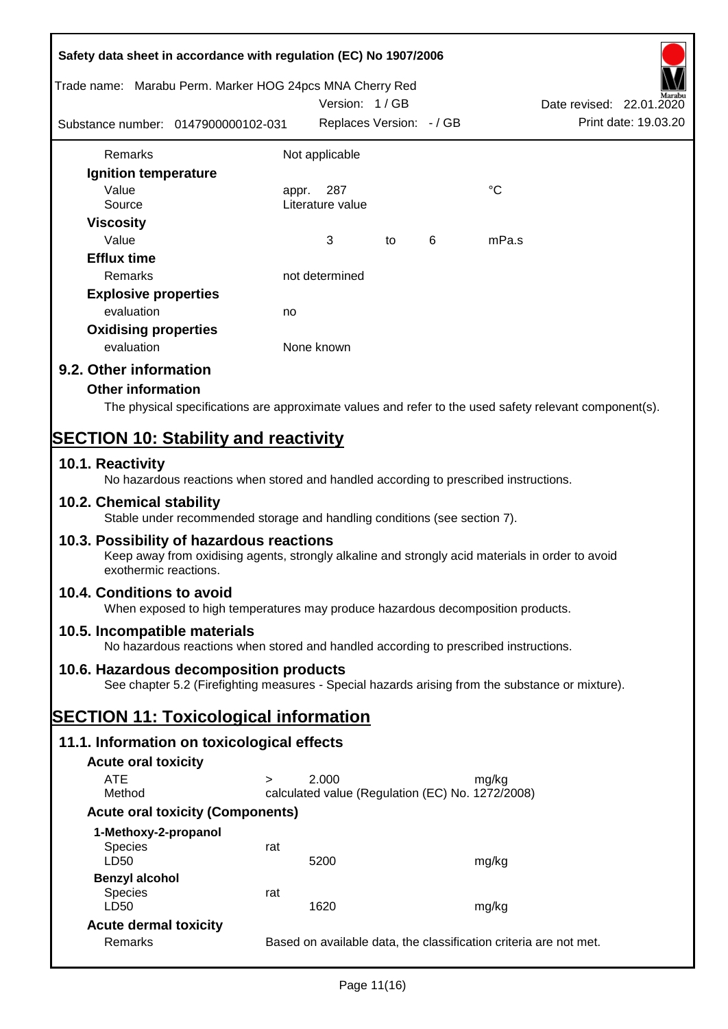|                                             | Safety data sheet in accordance with regulation (EC) No 1907/2006                                                                            |                  |                          |    |   |                                                  |                                                                                                        |
|---------------------------------------------|----------------------------------------------------------------------------------------------------------------------------------------------|------------------|--------------------------|----|---|--------------------------------------------------|--------------------------------------------------------------------------------------------------------|
|                                             | Trade name: Marabu Perm. Marker HOG 24pcs MNA Cherry Red                                                                                     |                  | Version: 1/GB            |    |   |                                                  | Date revised: 22.01.2020                                                                               |
|                                             | Substance number: 0147900000102-031                                                                                                          |                  | Replaces Version: - / GB |    |   |                                                  | Print date: 19.03.20                                                                                   |
| Remarks                                     |                                                                                                                                              | Not applicable   |                          |    |   |                                                  |                                                                                                        |
| Ignition temperature                        |                                                                                                                                              |                  |                          |    |   |                                                  |                                                                                                        |
| Value                                       |                                                                                                                                              | appr.            | 287                      |    |   | $\rm ^{\circ}C$                                  |                                                                                                        |
| Source                                      |                                                                                                                                              | Literature value |                          |    |   |                                                  |                                                                                                        |
| <b>Viscosity</b>                            |                                                                                                                                              |                  |                          |    |   |                                                  |                                                                                                        |
| Value                                       |                                                                                                                                              | 3                |                          | to | 6 | mPa.s                                            |                                                                                                        |
| <b>Efflux time</b>                          |                                                                                                                                              |                  |                          |    |   |                                                  |                                                                                                        |
| Remarks                                     |                                                                                                                                              | not determined   |                          |    |   |                                                  |                                                                                                        |
| <b>Explosive properties</b>                 |                                                                                                                                              |                  |                          |    |   |                                                  |                                                                                                        |
| evaluation                                  |                                                                                                                                              | no               |                          |    |   |                                                  |                                                                                                        |
| <b>Oxidising properties</b>                 |                                                                                                                                              |                  |                          |    |   |                                                  |                                                                                                        |
| evaluation                                  |                                                                                                                                              | None known       |                          |    |   |                                                  |                                                                                                        |
| 9.2. Other information                      |                                                                                                                                              |                  |                          |    |   |                                                  |                                                                                                        |
| <b>Other information</b>                    |                                                                                                                                              |                  |                          |    |   |                                                  |                                                                                                        |
|                                             |                                                                                                                                              |                  |                          |    |   |                                                  | The physical specifications are approximate values and refer to the used safety relevant component(s). |
|                                             |                                                                                                                                              |                  |                          |    |   |                                                  |                                                                                                        |
| <b>SECTION 10: Stability and reactivity</b> |                                                                                                                                              |                  |                          |    |   |                                                  |                                                                                                        |
| 10.1. Reactivity                            | No hazardous reactions when stored and handled according to prescribed instructions.                                                         |                  |                          |    |   |                                                  |                                                                                                        |
| 10.2. Chemical stability                    | Stable under recommended storage and handling conditions (see section 7).                                                                    |                  |                          |    |   |                                                  |                                                                                                        |
| exothermic reactions.                       | 10.3. Possibility of hazardous reactions<br>Keep away from oxidising agents, strongly alkaline and strongly acid materials in order to avoid |                  |                          |    |   |                                                  |                                                                                                        |
| 10.4. Conditions to avoid                   | When exposed to high temperatures may produce hazardous decomposition products.                                                              |                  |                          |    |   |                                                  |                                                                                                        |
| 10.5. Incompatible materials                | No hazardous reactions when stored and handled according to prescribed instructions.                                                         |                  |                          |    |   |                                                  |                                                                                                        |
|                                             | 10.6. Hazardous decomposition products                                                                                                       |                  |                          |    |   |                                                  |                                                                                                        |
|                                             | See chapter 5.2 (Firefighting measures - Special hazards arising from the substance or mixture).                                             |                  |                          |    |   |                                                  |                                                                                                        |
|                                             | <b>SECTION 11: Toxicological information</b>                                                                                                 |                  |                          |    |   |                                                  |                                                                                                        |
|                                             | 11.1. Information on toxicological effects                                                                                                   |                  |                          |    |   |                                                  |                                                                                                        |
| <b>Acute oral toxicity</b>                  |                                                                                                                                              |                  |                          |    |   |                                                  |                                                                                                        |
| <b>ATE</b>                                  | $\geq$                                                                                                                                       | 2.000            |                          |    |   | mg/kg                                            |                                                                                                        |
| Method                                      |                                                                                                                                              |                  |                          |    |   | calculated value (Regulation (EC) No. 1272/2008) |                                                                                                        |
|                                             | <b>Acute oral toxicity (Components)</b>                                                                                                      |                  |                          |    |   |                                                  |                                                                                                        |
| 1-Methoxy-2-propanol                        |                                                                                                                                              |                  |                          |    |   |                                                  |                                                                                                        |
| Species                                     | rat                                                                                                                                          |                  |                          |    |   |                                                  |                                                                                                        |
| LD50                                        |                                                                                                                                              | 5200             |                          |    |   | mg/kg                                            |                                                                                                        |
| <b>Benzyl alcohol</b>                       |                                                                                                                                              |                  |                          |    |   |                                                  |                                                                                                        |
| Species                                     | rat                                                                                                                                          |                  |                          |    |   |                                                  |                                                                                                        |
| LD50                                        |                                                                                                                                              | 1620             |                          |    |   | mg/kg                                            |                                                                                                        |
| <b>Acute dermal toxicity</b>                |                                                                                                                                              |                  |                          |    |   |                                                  |                                                                                                        |
| Remarks                                     |                                                                                                                                              |                  |                          |    |   |                                                  | Based on available data, the classification criteria are not met.                                      |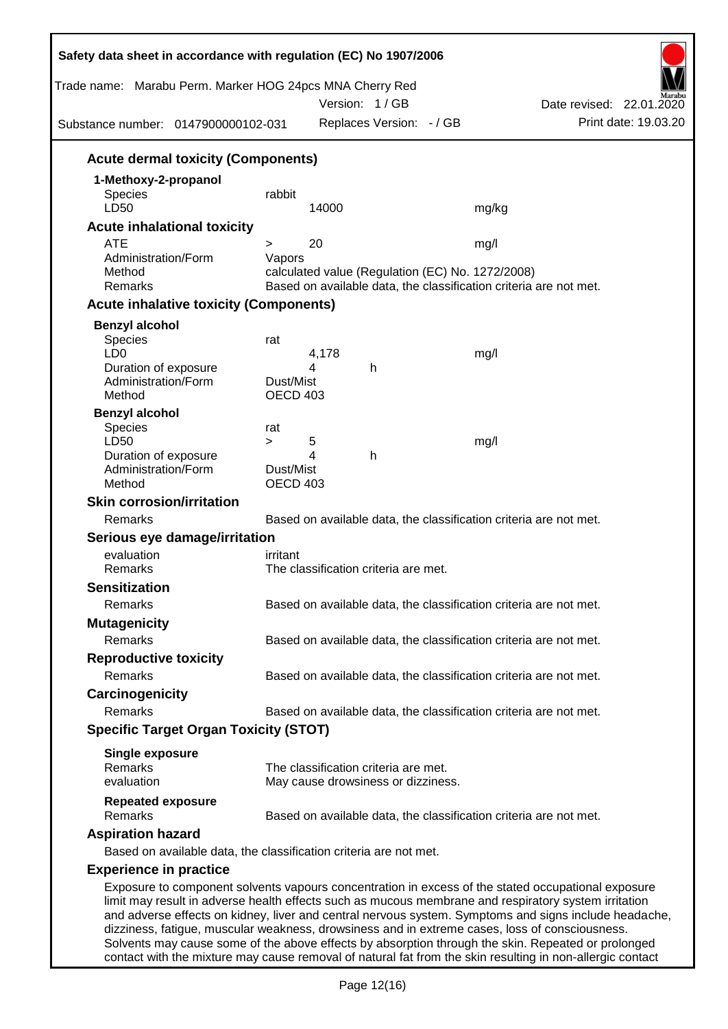| Trade name: Marabu Perm. Marker HOG 24pcs MNA Cherry Red<br>Substance number: 0147900000102-031                                                                                                                                                                                                                     |                       |       | Version: 1/GB<br>Replaces Version: - / GB |                                                                                                                       | Date revised: 22.01.2020<br>Print date: 19.03.20 |
|---------------------------------------------------------------------------------------------------------------------------------------------------------------------------------------------------------------------------------------------------------------------------------------------------------------------|-----------------------|-------|-------------------------------------------|-----------------------------------------------------------------------------------------------------------------------|--------------------------------------------------|
| <b>Acute dermal toxicity (Components)</b>                                                                                                                                                                                                                                                                           |                       |       |                                           |                                                                                                                       |                                                  |
| 1-Methoxy-2-propanol                                                                                                                                                                                                                                                                                                |                       |       |                                           |                                                                                                                       |                                                  |
| <b>Species</b>                                                                                                                                                                                                                                                                                                      | rabbit                |       |                                           |                                                                                                                       |                                                  |
| LD50                                                                                                                                                                                                                                                                                                                |                       | 14000 |                                           | mg/kg                                                                                                                 |                                                  |
| <b>Acute inhalational toxicity</b>                                                                                                                                                                                                                                                                                  |                       |       |                                           |                                                                                                                       |                                                  |
| <b>ATE</b>                                                                                                                                                                                                                                                                                                          | $\geq$                | 20    |                                           | mg/l                                                                                                                  |                                                  |
| Administration/Form                                                                                                                                                                                                                                                                                                 | Vapors                |       |                                           |                                                                                                                       |                                                  |
| Method<br>Remarks                                                                                                                                                                                                                                                                                                   |                       |       |                                           | calculated value (Regulation (EC) No. 1272/2008)<br>Based on available data, the classification criteria are not met. |                                                  |
|                                                                                                                                                                                                                                                                                                                     |                       |       |                                           |                                                                                                                       |                                                  |
| <b>Acute inhalative toxicity (Components)</b>                                                                                                                                                                                                                                                                       |                       |       |                                           |                                                                                                                       |                                                  |
| <b>Benzyl alcohol</b>                                                                                                                                                                                                                                                                                               |                       |       |                                           |                                                                                                                       |                                                  |
| Species<br>LD <sub>0</sub>                                                                                                                                                                                                                                                                                          | rat                   | 4,178 |                                           | mg/l                                                                                                                  |                                                  |
| Duration of exposure                                                                                                                                                                                                                                                                                                |                       | 4     | h                                         |                                                                                                                       |                                                  |
| Administration/Form                                                                                                                                                                                                                                                                                                 | Dust/Mist             |       |                                           |                                                                                                                       |                                                  |
| Method                                                                                                                                                                                                                                                                                                              | OECD 403              |       |                                           |                                                                                                                       |                                                  |
| <b>Benzyl alcohol</b>                                                                                                                                                                                                                                                                                               |                       |       |                                           |                                                                                                                       |                                                  |
| Species                                                                                                                                                                                                                                                                                                             | rat                   |       |                                           |                                                                                                                       |                                                  |
| LD50                                                                                                                                                                                                                                                                                                                | $\geq$                | 5     |                                           | mg/l                                                                                                                  |                                                  |
| Duration of exposure                                                                                                                                                                                                                                                                                                |                       | 4     | h                                         |                                                                                                                       |                                                  |
| Administration/Form<br>Method                                                                                                                                                                                                                                                                                       | Dust/Mist<br>OECD 403 |       |                                           |                                                                                                                       |                                                  |
| <b>Skin corrosion/irritation</b>                                                                                                                                                                                                                                                                                    |                       |       |                                           |                                                                                                                       |                                                  |
| Remarks                                                                                                                                                                                                                                                                                                             |                       |       |                                           | Based on available data, the classification criteria are not met.                                                     |                                                  |
| Serious eye damage/irritation                                                                                                                                                                                                                                                                                       |                       |       |                                           |                                                                                                                       |                                                  |
| evaluation                                                                                                                                                                                                                                                                                                          | irritant              |       |                                           |                                                                                                                       |                                                  |
| Remarks                                                                                                                                                                                                                                                                                                             |                       |       | The classification criteria are met.      |                                                                                                                       |                                                  |
| <b>Sensitization</b>                                                                                                                                                                                                                                                                                                |                       |       |                                           |                                                                                                                       |                                                  |
| Remarks                                                                                                                                                                                                                                                                                                             |                       |       |                                           | Based on available data, the classification criteria are not met.                                                     |                                                  |
|                                                                                                                                                                                                                                                                                                                     |                       |       |                                           |                                                                                                                       |                                                  |
| <b>Mutagenicity</b>                                                                                                                                                                                                                                                                                                 |                       |       |                                           |                                                                                                                       |                                                  |
| Remarks                                                                                                                                                                                                                                                                                                             |                       |       |                                           | Based on available data, the classification criteria are not met.                                                     |                                                  |
| <b>Reproductive toxicity</b>                                                                                                                                                                                                                                                                                        |                       |       |                                           |                                                                                                                       |                                                  |
| Remarks                                                                                                                                                                                                                                                                                                             |                       |       |                                           | Based on available data, the classification criteria are not met.                                                     |                                                  |
| Carcinogenicity                                                                                                                                                                                                                                                                                                     |                       |       |                                           |                                                                                                                       |                                                  |
| Remarks                                                                                                                                                                                                                                                                                                             |                       |       |                                           | Based on available data, the classification criteria are not met.                                                     |                                                  |
| <b>Specific Target Organ Toxicity (STOT)</b>                                                                                                                                                                                                                                                                        |                       |       |                                           |                                                                                                                       |                                                  |
| <b>Single exposure</b>                                                                                                                                                                                                                                                                                              |                       |       |                                           |                                                                                                                       |                                                  |
| Remarks                                                                                                                                                                                                                                                                                                             |                       |       | The classification criteria are met.      |                                                                                                                       |                                                  |
| evaluation                                                                                                                                                                                                                                                                                                          |                       |       | May cause drowsiness or dizziness.        |                                                                                                                       |                                                  |
| <b>Repeated exposure</b><br>Remarks                                                                                                                                                                                                                                                                                 |                       |       |                                           | Based on available data, the classification criteria are not met.                                                     |                                                  |
| <b>Aspiration hazard</b>                                                                                                                                                                                                                                                                                            |                       |       |                                           |                                                                                                                       |                                                  |
| Based on available data, the classification criteria are not met.                                                                                                                                                                                                                                                   |                       |       |                                           |                                                                                                                       |                                                  |
| <b>Experience in practice</b>                                                                                                                                                                                                                                                                                       |                       |       |                                           |                                                                                                                       |                                                  |
|                                                                                                                                                                                                                                                                                                                     |                       |       |                                           |                                                                                                                       |                                                  |
| Exposure to component solvents vapours concentration in excess of the stated occupational exposure<br>limit may result in adverse health effects such as mucous membrane and respiratory system irritation<br>and adverse effects on kidney, liver and central nervous system. Symptoms and signs include headache, |                       |       |                                           |                                                                                                                       |                                                  |

dizziness, fatigue, muscular weakness, drowsiness and in extreme cases, loss of consciousness. Solvents may cause some of the above effects by absorption through the skin. Repeated or prolonged contact with the mixture may cause removal of natural fat from the skin resulting in non-allergic contact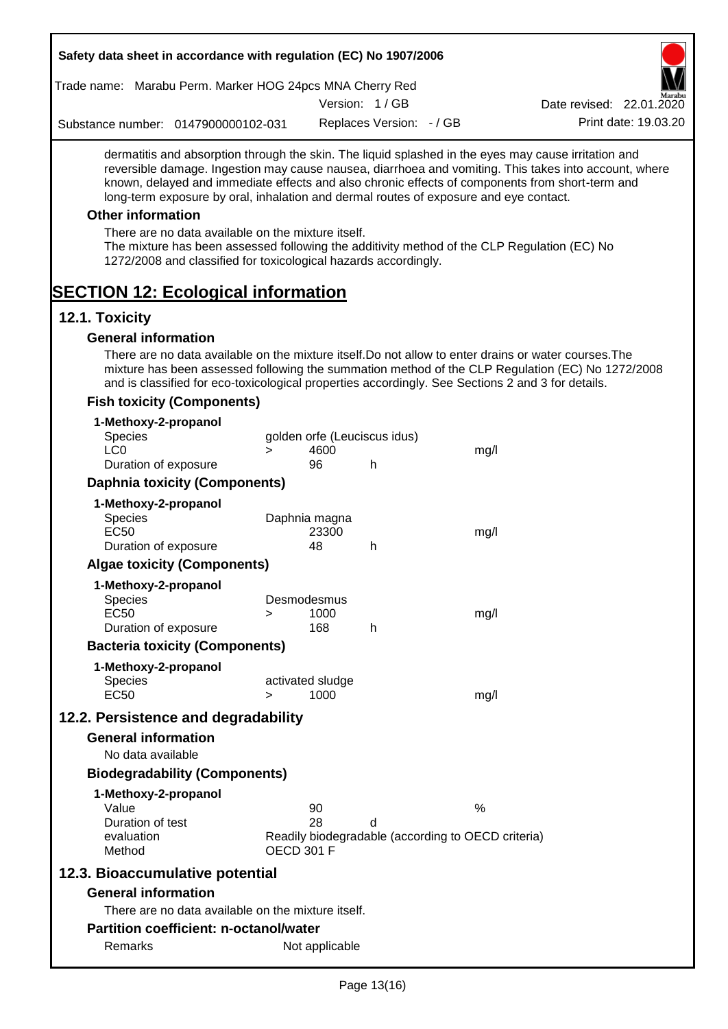|                  |                            | Safety data sheet in accordance with regulation (EC) No 1907/2006                                                     |                   |                          |                              |                                                                                       |                                                                                                                                                                                                                                                                                                                  |
|------------------|----------------------------|-----------------------------------------------------------------------------------------------------------------------|-------------------|--------------------------|------------------------------|---------------------------------------------------------------------------------------|------------------------------------------------------------------------------------------------------------------------------------------------------------------------------------------------------------------------------------------------------------------------------------------------------------------|
|                  |                            | Trade name: Marabu Perm. Marker HOG 24pcs MNA Cherry Red                                                              |                   |                          |                              |                                                                                       |                                                                                                                                                                                                                                                                                                                  |
|                  |                            |                                                                                                                       |                   |                          | Version: 1/GB                |                                                                                       | Date revised: 22.01.2020                                                                                                                                                                                                                                                                                         |
|                  |                            | Substance number: 0147900000102-031                                                                                   |                   |                          | Replaces Version: - / GB     |                                                                                       | Print date: 19.03.20                                                                                                                                                                                                                                                                                             |
|                  |                            |                                                                                                                       |                   |                          |                              | long-term exposure by oral, inhalation and dermal routes of exposure and eye contact. | dermatitis and absorption through the skin. The liquid splashed in the eyes may cause irritation and<br>reversible damage. Ingestion may cause nausea, diarrhoea and vomiting. This takes into account, where<br>known, delayed and immediate effects and also chronic effects of components from short-term and |
|                  | <b>Other information</b>   |                                                                                                                       |                   |                          |                              |                                                                                       |                                                                                                                                                                                                                                                                                                                  |
|                  |                            | There are no data available on the mixture itself.<br>1272/2008 and classified for toxicological hazards accordingly. |                   |                          |                              |                                                                                       | The mixture has been assessed following the additivity method of the CLP Regulation (EC) No                                                                                                                                                                                                                      |
| 12.1. Toxicity   |                            | <b>SECTION 12: Ecological information</b>                                                                             |                   |                          |                              |                                                                                       |                                                                                                                                                                                                                                                                                                                  |
|                  | <b>General information</b> |                                                                                                                       |                   |                          |                              |                                                                                       |                                                                                                                                                                                                                                                                                                                  |
|                  |                            |                                                                                                                       |                   |                          |                              |                                                                                       | There are no data available on the mixture itself. Do not allow to enter drains or water courses. The<br>mixture has been assessed following the summation method of the CLP Regulation (EC) No 1272/2008<br>and is classified for eco-toxicological properties accordingly. See Sections 2 and 3 for details.   |
|                  |                            | <b>Fish toxicity (Components)</b>                                                                                     |                   |                          |                              |                                                                                       |                                                                                                                                                                                                                                                                                                                  |
|                  | 1-Methoxy-2-propanol       |                                                                                                                       |                   |                          |                              |                                                                                       |                                                                                                                                                                                                                                                                                                                  |
|                  | <b>Species</b>             |                                                                                                                       |                   |                          | golden orfe (Leuciscus idus) |                                                                                       |                                                                                                                                                                                                                                                                                                                  |
| LC <sub>0</sub>  |                            |                                                                                                                       | $\geq$            | 4600                     |                              | mg/l                                                                                  |                                                                                                                                                                                                                                                                                                                  |
|                  | Duration of exposure       |                                                                                                                       |                   | 96                       | h                            |                                                                                       |                                                                                                                                                                                                                                                                                                                  |
|                  |                            | <b>Daphnia toxicity (Components)</b>                                                                                  |                   |                          |                              |                                                                                       |                                                                                                                                                                                                                                                                                                                  |
|                  | 1-Methoxy-2-propanol       |                                                                                                                       |                   |                          |                              |                                                                                       |                                                                                                                                                                                                                                                                                                                  |
| <b>EC50</b>      | <b>Species</b>             |                                                                                                                       |                   | Daphnia magna            |                              |                                                                                       |                                                                                                                                                                                                                                                                                                                  |
|                  | Duration of exposure       |                                                                                                                       |                   | 23300<br>48              | h                            | mg/l                                                                                  |                                                                                                                                                                                                                                                                                                                  |
|                  |                            | <b>Algae toxicity (Components)</b>                                                                                    |                   |                          |                              |                                                                                       |                                                                                                                                                                                                                                                                                                                  |
|                  | 1-Methoxy-2-propanol       |                                                                                                                       |                   |                          |                              |                                                                                       |                                                                                                                                                                                                                                                                                                                  |
|                  | Species                    |                                                                                                                       |                   | Desmodesmus              |                              |                                                                                       |                                                                                                                                                                                                                                                                                                                  |
| EC <sub>50</sub> |                            |                                                                                                                       | >                 | 1000                     |                              | mg/l                                                                                  |                                                                                                                                                                                                                                                                                                                  |
|                  | Duration of exposure       |                                                                                                                       |                   | 168                      | h                            |                                                                                       |                                                                                                                                                                                                                                                                                                                  |
|                  |                            | <b>Bacteria toxicity (Components)</b>                                                                                 |                   |                          |                              |                                                                                       |                                                                                                                                                                                                                                                                                                                  |
|                  | 1-Methoxy-2-propanol       |                                                                                                                       |                   |                          |                              |                                                                                       |                                                                                                                                                                                                                                                                                                                  |
| <b>EC50</b>      | <b>Species</b>             |                                                                                                                       |                   | activated sludge<br>1000 |                              |                                                                                       |                                                                                                                                                                                                                                                                                                                  |
|                  |                            |                                                                                                                       | $\geq$            |                          |                              | mg/l                                                                                  |                                                                                                                                                                                                                                                                                                                  |
|                  |                            | 12.2. Persistence and degradability                                                                                   |                   |                          |                              |                                                                                       |                                                                                                                                                                                                                                                                                                                  |
|                  | <b>General information</b> |                                                                                                                       |                   |                          |                              |                                                                                       |                                                                                                                                                                                                                                                                                                                  |
|                  | No data available          |                                                                                                                       |                   |                          |                              |                                                                                       |                                                                                                                                                                                                                                                                                                                  |
|                  |                            | <b>Biodegradability (Components)</b>                                                                                  |                   |                          |                              |                                                                                       |                                                                                                                                                                                                                                                                                                                  |
|                  | 1-Methoxy-2-propanol       |                                                                                                                       |                   |                          |                              |                                                                                       |                                                                                                                                                                                                                                                                                                                  |
| Value            | Duration of test           |                                                                                                                       |                   | 90<br>28                 |                              | $\%$                                                                                  |                                                                                                                                                                                                                                                                                                                  |
|                  | evaluation                 |                                                                                                                       |                   |                          | d                            | Readily biodegradable (according to OECD criteria)                                    |                                                                                                                                                                                                                                                                                                                  |
|                  | Method                     |                                                                                                                       | <b>OECD 301 F</b> |                          |                              |                                                                                       |                                                                                                                                                                                                                                                                                                                  |
|                  |                            | 12.3. Bioaccumulative potential                                                                                       |                   |                          |                              |                                                                                       |                                                                                                                                                                                                                                                                                                                  |
|                  | <b>General information</b> |                                                                                                                       |                   |                          |                              |                                                                                       |                                                                                                                                                                                                                                                                                                                  |
|                  |                            | There are no data available on the mixture itself.                                                                    |                   |                          |                              |                                                                                       |                                                                                                                                                                                                                                                                                                                  |
|                  |                            | Partition coefficient: n-octanol/water                                                                                |                   |                          |                              |                                                                                       |                                                                                                                                                                                                                                                                                                                  |
|                  |                            |                                                                                                                       |                   |                          |                              |                                                                                       |                                                                                                                                                                                                                                                                                                                  |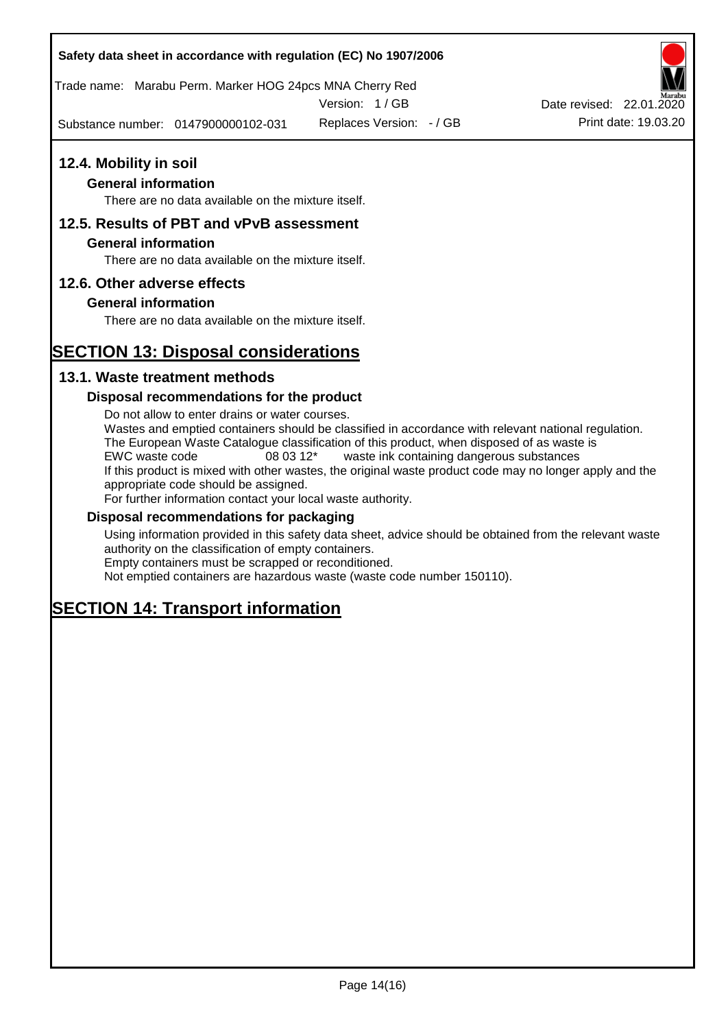### **Safety data sheet in accordance with regulation (EC) No 1907/2006**

Trade name: Marabu Perm. Marker HOG 24pcs MNA Cherry Red

Version: 1 / GB

Substance number: 0147900000102-031

### **12.4. Mobility in soil**

### **General information**

There are no data available on the mixture itself.

### **12.5. Results of PBT and vPvB assessment**

#### **General information**

There are no data available on the mixture itself.

### **12.6. Other adverse effects**

### **General information**

There are no data available on the mixture itself.

# **SECTION 13: Disposal considerations**

### **13.1. Waste treatment methods**

#### **Disposal recommendations for the product**

Do not allow to enter drains or water courses. Wastes and emptied containers should be classified in accordance with relevant national regulation. The European Waste Catalogue classification of this product, when disposed of as waste is EWC waste code 08 03 12\* waste ink containing dangerous substances If this product is mixed with other wastes, the original waste product code may no longer apply and the appropriate code should be assigned. For further information contact your local waste authority.

#### **Disposal recommendations for packaging**

Using information provided in this safety data sheet, advice should be obtained from the relevant waste authority on the classification of empty containers. Empty containers must be scrapped or reconditioned.

Not emptied containers are hazardous waste (waste code number 150110).

# **SECTION 14: Transport information**



Replaces Version:  $-$  / GB Print date: 19.03.20 Date revised: 22.01.2020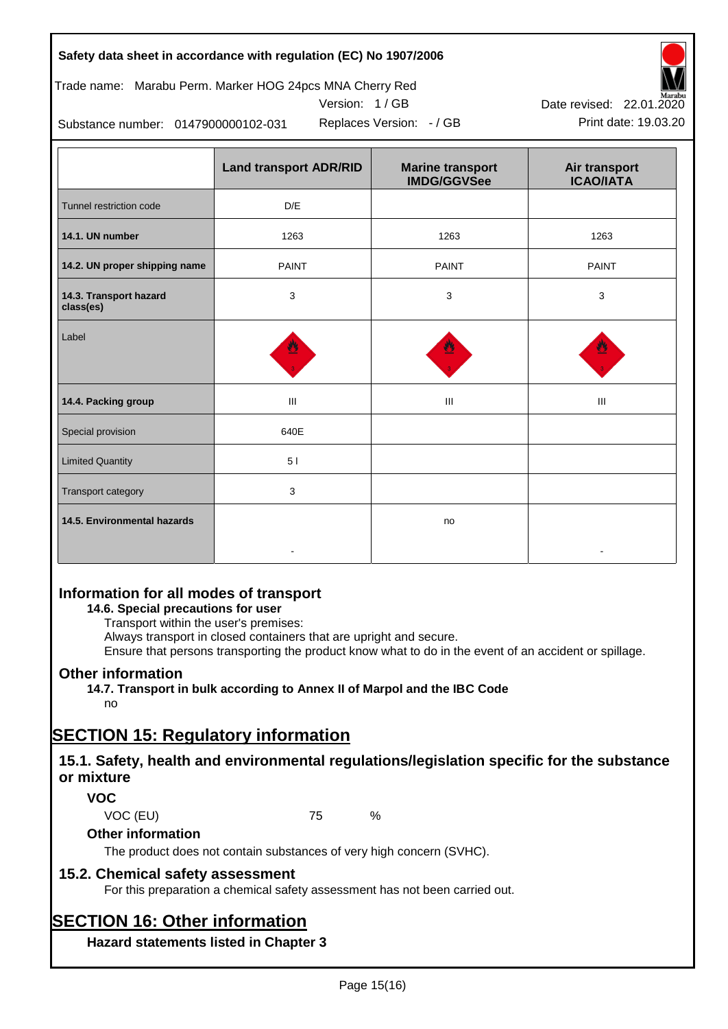### **Safety data sheet in accordance with regulation (EC) No 1907/2006**

### Trade name: Marabu Perm. Marker HOG 24pcs MNA Cherry Red

Version: 1 / GB



Replaces Version:  $-$  / GB Print date: 19.03.20 Date revised: 22.01.2020

Substance number: 0147900000102-031

|                                     | <b>Land transport ADR/RID</b> | <b>Marine transport</b><br><b>IMDG/GGVSee</b> | Air transport<br><b>ICAO/IATA</b> |
|-------------------------------------|-------------------------------|-----------------------------------------------|-----------------------------------|
| Tunnel restriction code             | D/E                           |                                               |                                   |
| 14.1. UN number                     | 1263                          | 1263                                          | 1263                              |
| 14.2. UN proper shipping name       | <b>PAINT</b>                  | <b>PAINT</b>                                  | <b>PAINT</b>                      |
| 14.3. Transport hazard<br>class(es) | 3                             | 3                                             | 3                                 |
| Label                               |                               |                                               |                                   |
| 14.4. Packing group                 | Ш                             | Ш                                             | Ш                                 |
| Special provision                   | 640E                          |                                               |                                   |
| <b>Limited Quantity</b>             | 51                            |                                               |                                   |
| Transport category                  | 3                             |                                               |                                   |
| 14.5. Environmental hazards         |                               | no                                            |                                   |

## **Information for all modes of transport**

**14.6. Special precautions for user**

Transport within the user's premises:

Always transport in closed containers that are upright and secure.

Ensure that persons transporting the product know what to do in the event of an accident or spillage.

### **Other information**

**14.7. Transport in bulk according to Annex II of Marpol and the IBC Code** no

# **SECTION 15: Regulatory information**

### **15.1. Safety, health and environmental regulations/legislation specific for the substance or mixture**

### **VOC**

VOC (EU) 75 %

**Other information**

The product does not contain substances of very high concern (SVHC).

## **15.2. Chemical safety assessment**

For this preparation a chemical safety assessment has not been carried out.

# **SECTION 16: Other information**

**Hazard statements listed in Chapter 3**